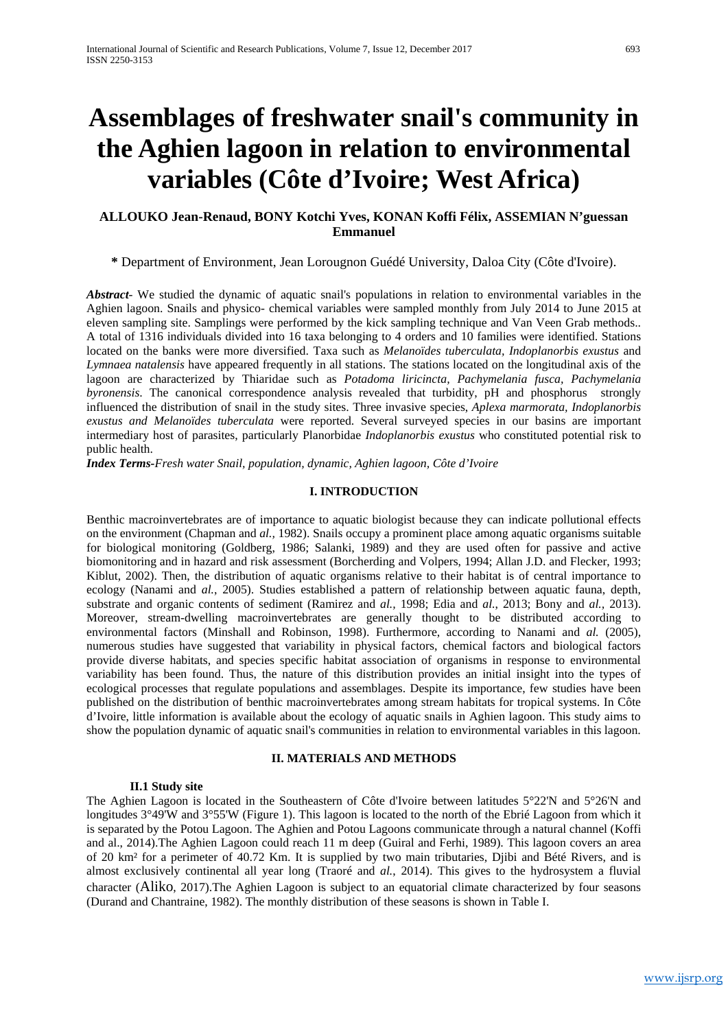# **Assemblages of freshwater snail's community in the Aghien lagoon in relation to environmental variables (Côte d'Ivoire; West Africa)**

# **ALLOUKO Jean-Renaud, BONY Kotchi Yves, KONAN Koffi Félix, ASSEMIAN N'guessan Emmanuel**

# **\*** Department of Environment, Jean Lorougnon Guédé University, Daloa City (Côte d'Ivoire).

*Abstract*- We studied the dynamic of aquatic snail's populations in relation to environmental variables in the Aghien lagoon. Snails and physico- chemical variables were sampled monthly from July 2014 to June 2015 at eleven sampling site. Samplings were performed by the kick sampling technique and Van Veen Grab methods.. A total of 1316 individuals divided into 16 taxa belonging to 4 orders and 10 families were identified. Stations located on the banks were more diversified. Taxa such as *Melanoïdes tuberculata, Indoplanorbis exustus* and *Lymnaea natalensis* have appeared frequently in all stations. The stations located on the longitudinal axis of the lagoon are characterized by Thiaridae such as *Potadoma liricincta, Pachymelania fusca, Pachymelania byronensis*. The canonical correspondence analysis revealed that turbidity, pH and phosphorus strongly influenced the distribution of snail in the study sites. Three invasive species, *Aplexa marmorata, Indoplanorbis exustus and Melanoïdes tuberculata* were reported. Several surveyed species in our basins are important intermediary host of parasites, particularly Planorbidae *Indoplanorbis exustus* who constituted potential risk to public health.

*Index Terms-Fresh water Snail, population, dynamic, Aghien lagoon, Côte d'Ivoire*

# **I. INTRODUCTION**

Benthic macroinvertebrates are of importance to aquatic biologist because they can indicate pollutional effects on the environment (Chapman and *al.,* 1982). Snails occupy a prominent place among aquatic organisms suitable for biological monitoring (Goldberg, 1986; Salanki, 1989) and they are used often for passive and active biomonitoring and in hazard and risk assessment (Borcherding and Volpers, 1994; Allan J.D. and Flecker, 1993; Kiblut, 2002). Then, the distribution of aquatic organisms relative to their habitat is of central importance to ecology (Nanami and *al.*, 2005). Studies established a pattern of relationship between aquatic fauna, depth, substrate and organic contents of sediment (Ramirez and *al.,* 1998; Edia and *al.*, 2013; Bony and *al.,* 2013). Moreover, stream-dwelling macroinvertebrates are generally thought to be distributed according to environmental factors (Minshall and Robinson, 1998). Furthermore, according to Nanami and *al.* (2005), numerous studies have suggested that variability in physical factors, chemical factors and biological factors provide diverse habitats, and species specific habitat association of organisms in response to environmental variability has been found. Thus, the nature of this distribution provides an initial insight into the types of ecological processes that regulate populations and assemblages. Despite its importance, few studies have been published on the distribution of benthic macroinvertebrates among stream habitats for tropical systems. In Côte d'Ivoire, little information is available about the ecology of aquatic snails in Aghien lagoon. This study aims to show the population dynamic of aquatic snail's communities in relation to environmental variables in this lagoon.

# **II. MATERIALS AND METHODS**

# **II.1 Study site**

The Aghien Lagoon is located in the Southeastern of Côte d'Ivoire between latitudes 5°22'N and 5°26'N and longitudes 3°49'W and 3°55'W (Figure 1). This lagoon is located to the north of the Ebrié Lagoon from which it is separated by the Potou Lagoon. The Aghien and Potou Lagoons communicate through a natural channel (Koffi and al., 2014).The Aghien Lagoon could reach 11 m deep (Guiral and Ferhi, 1989). This lagoon covers an area of 20 km² for a perimeter of 40.72 Km. It is supplied by two main tributaries, Djibi and Bété Rivers, and is almost exclusively continental all year long (Traoré and *al.*, 2014). This gives to the hydrosystem a fluvial character (Aliko, 2017).The Aghien Lagoon is subject to an equatorial climate characterized by four seasons (Durand and Chantraine, 1982). The monthly distribution of these seasons is shown in Table I.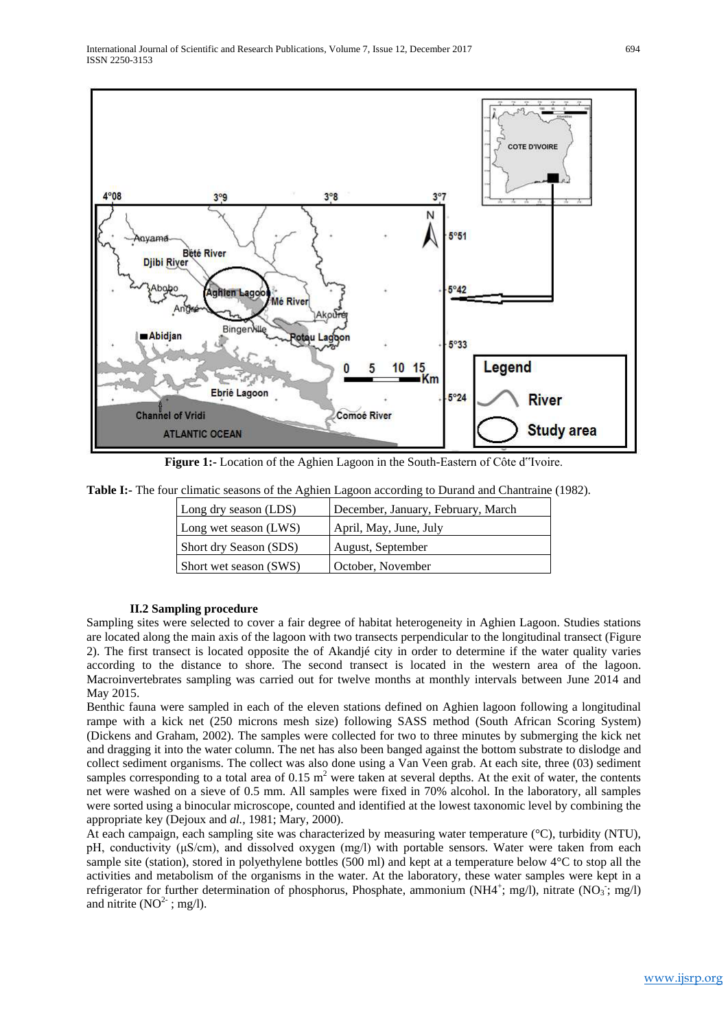

**Figure 1:-** Location of the Aghien Lagoon in the South-Eastern of Côte d"Ivoire.

| <b>Table I:-</b> The four climatic seasons of the Aghien Lagoon according to Durand and Chantraine (1982). |  |  |  |  |  |
|------------------------------------------------------------------------------------------------------------|--|--|--|--|--|
|                                                                                                            |  |  |  |  |  |

| Long dry season (LDS)  | December, January, February, March |
|------------------------|------------------------------------|
| Long wet season (LWS)  | April, May, June, July             |
| Short dry Season (SDS) | August, September                  |
| Short wet season (SWS) | October, November                  |

## **II.2 Sampling procedure**

Sampling sites were selected to cover a fair degree of habitat heterogeneity in Aghien Lagoon. Studies stations are located along the main axis of the lagoon with two transects perpendicular to the longitudinal transect (Figure 2). The first transect is located opposite the of Akandjé city in order to determine if the water quality varies according to the distance to shore. The second transect is located in the western area of the lagoon. Macroinvertebrates sampling was carried out for twelve months at monthly intervals between June 2014 and May 2015.

Benthic fauna were sampled in each of the eleven stations defined on Aghien lagoon following a longitudinal rampe with a kick net (250 microns mesh size) following SASS method (South African Scoring System) (Dickens and Graham, 2002). The samples were collected for two to three minutes by submerging the kick net and dragging it into the water column. The net has also been banged against the bottom substrate to dislodge and collect sediment organisms. The collect was also done using a Van Veen grab. At each site, three (03) sediment samples corresponding to a total area of  $0.15 \text{ m}^2$  were taken at several depths. At the exit of water, the contents net were washed on a sieve of 0.5 mm. All samples were fixed in 70% alcohol. In the laboratory, all samples were sorted using a binocular microscope, counted and identified at the lowest taxonomic level by combining the appropriate key (Dejoux and *al.,* 1981; Mary, 2000).

At each campaign, each sampling site was characterized by measuring water temperature (°C), turbidity (NTU), pH, conductivity (μS/cm), and dissolved oxygen (mg/l) with portable sensors. Water were taken from each sample site (station), stored in polyethylene bottles (500 ml) and kept at a temperature below 4°C to stop all the activities and metabolism of the organisms in the water. At the laboratory, these water samples were kept in a refrigerator for further determination of phosphorus, Phosphate, ammonium (NH4<sup>+</sup>; mg/l), nitrate (NO<sub>3</sub>; mg/l) and nitrite  $(NO<sup>2-</sup>; mg/l)$ .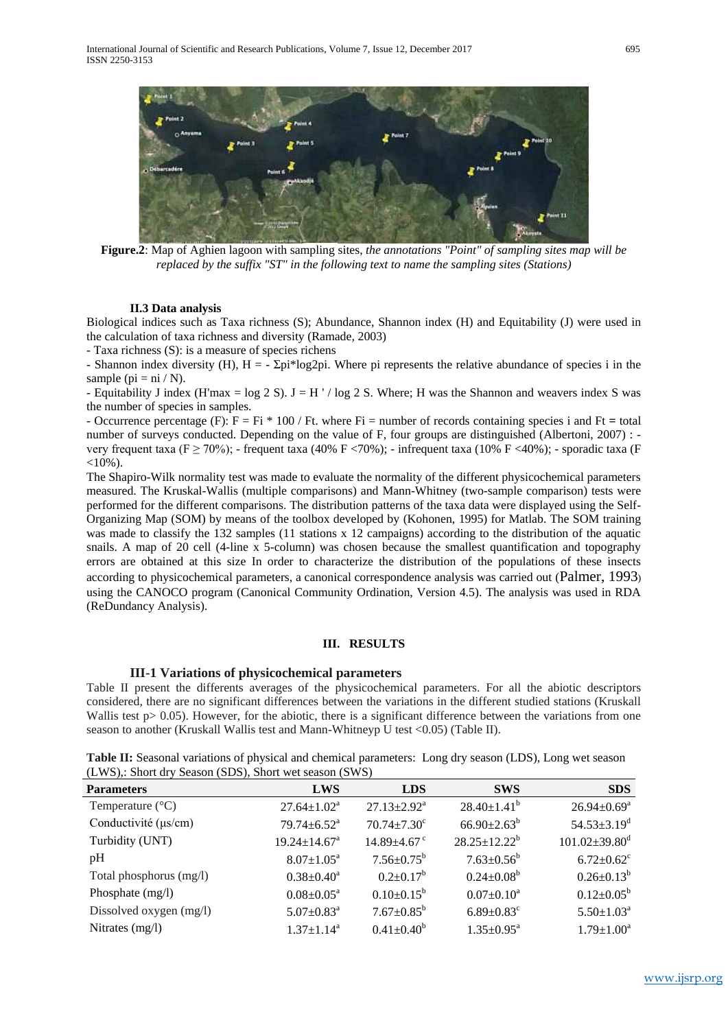

**Figure.2**: Map of Aghien lagoon with sampling sites, *the annotations "Point" of sampling sites map will be replaced by the suffix "ST" in the following text to name the sampling sites (Stations)*

#### **II.3 Data analysis**

Biological indices such as Taxa richness (S); Abundance, Shannon index (H) and Equitability (J) were used in the calculation of taxa richness and diversity (Ramade, 2003)

- Taxa richness (S): is a measure of species richens

- Shannon index diversity (H),  $H = -\Sigma pi*log2pi$ . Where pi represents the relative abundance of species i in the sample ( $pi = ni / N$ ).

- Equitability J index (H'max = log 2 S). J = H ' / log 2 S. Where; H was the Shannon and weavers index S was the number of species in samples.

- Occurrence percentage (F): F = Fi \* 100 / Ft. where Fi = number of records containing species i and Ft **=** total number of surveys conducted. Depending on the value of F, four groups are distinguished (Albertoni, 2007) : very frequent taxa (F  $\geq$  70%); - frequent taxa (40% F <70%); - infrequent taxa (10% F <40%); - sporadic taxa (F  $<10\%$ ).

The Shapiro-Wilk normality test was made to evaluate the normality of the different physicochemical parameters measured. The Kruskal-Wallis (multiple comparisons) and Mann-Whitney (two-sample comparison) tests were performed for the different comparisons. The distribution patterns of the taxa data were displayed using the Self-Organizing Map (SOM) by means of the toolbox developed by (Kohonen, 1995) for Matlab. The SOM training was made to classify the 132 samples (11 stations x 12 campaigns) according to the distribution of the aquatic snails. A map of 20 cell (4-line x 5-column) was chosen because the smallest quantification and topography errors are obtained at this size In order to characterize the distribution of the populations of these insects according to physicochemical parameters, a canonical correspondence analysis was carried out (Palmer, 1993) using the CANOCO program (Canonical Community Ordination, Version 4.5). The analysis was used in RDA (ReDundancy Analysis).

#### **III. RESULTS**

#### **III-1 Variations of physicochemical parameters**

Table II present the differents averages of the physicochemical parameters. For all the abiotic descriptors considered, there are no significant differences between the variations in the different studied stations (Kruskall Wallis test p> 0.05). However, for the abiotic, there is a significant difference between the variations from one season to another (Kruskall Wallis test and Mann-Whitneyp U test <0.05) (Table II).

**Table II:** Seasonal variations of physical and chemical parameters: Long dry season (LDS), Long wet season (LWS),: Short dry Season (SDS), Short wet season (SWS)

| <b>Parameters</b>         | <b>LWS</b>                     | <b>LDS</b>                    | <b>SWS</b>                   | <b>SDS</b>                      |
|---------------------------|--------------------------------|-------------------------------|------------------------------|---------------------------------|
| Temperature $(^{\circ}C)$ | $27.64 \pm 1.02^a$             | $27.13 \pm 2.92^{\text{a}}$   | $28.40 \pm 1.41^b$           | $26.94 \pm 0.69^a$              |
| Conductivité (µs/cm)      | $79.74 \pm 6.52$ <sup>a</sup>  | $70.74 \pm 7.30$ <sup>c</sup> | $66.90 \pm 2.63^b$           | $54.53 \pm 3.19$ <sup>d</sup>   |
| Turbidity (UNT)           | $19.24 \pm 14.67$ <sup>a</sup> | $14.89 \pm 4.67$ <sup>c</sup> | $28.25 \pm 12.22^b$          | $101.02 \pm 39.80$ <sup>d</sup> |
| pH                        | $8.07 \pm 1.05^a$              | $7.56 \pm 0.75^{\rm b}$       | $7.63 \pm 0.56^b$            | $6.72 \pm 0.62$ <sup>c</sup>    |
| Total phosphorus (mg/l)   | $0.38 \pm 0.40^a$              | $0.2 \pm 0.17^b$              | $0.24 \pm 0.08^b$            | $0.26 \pm 0.13^b$               |
| Phosphate (mg/l)          | $0.08 \pm 0.05^a$              | $0.10 \pm 0.15^b$             | $0.07 \pm 0.10^a$            | $0.12 \pm 0.05^b$               |
| Dissolved oxygen (mg/l)   | $5.07 \pm 0.83$ <sup>a</sup>   | $7.67 \pm 0.85^b$             | $6.89 \pm 0.83$ <sup>c</sup> | $5.50 \pm 1.03$ <sup>a</sup>    |
| Nitrates (mg/l)           | $1.37 \pm 1.14^a$              | $0.41 \pm 0.40^b$             | $1.35 \pm 0.95^{\text{a}}$   | $1.79 \pm 1.00^a$               |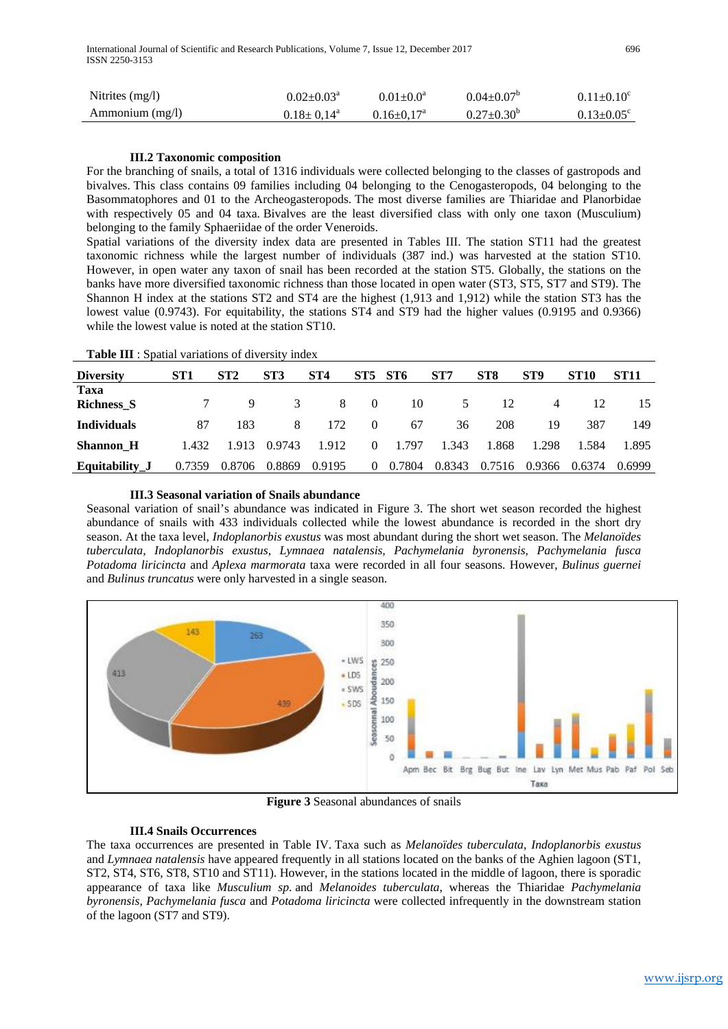| Nitrites $(mg/l)$    | $0.02 \pm 0.03^{\text{a}}$ | $0.01 \pm 0.0^a$             | $0.04 \pm 0.07$ <sup>b</sup> | $0.11 \pm 0.10^c$            |
|----------------------|----------------------------|------------------------------|------------------------------|------------------------------|
| $A$ mmonium $(mg/l)$ | $0.18 \pm 0.14^{\circ}$    | $0.16 \pm 0.17$ <sup>a</sup> | $0.27 \pm 0.30^{\circ}$      | $0.13 \pm 0.05$ <sup>c</sup> |

#### **III.2 Taxonomic composition**

For the branching of snails, a total of 1316 individuals were collected belonging to the classes of gastropods and bivalves. This class contains 09 families including 04 belonging to the Cenogasteropods, 04 belonging to the Basommatophores and 01 to the Archeogasteropods. The most diverse families are Thiaridae and Planorbidae with respectively 05 and 04 taxa. Bivalves are the least diversified class with only one taxon (Musculium) belonging to the family Sphaeriidae of the order Veneroids.

Spatial variations of the diversity index data are presented in Tables III. The station ST11 had the greatest taxonomic richness while the largest number of individuals (387 ind.) was harvested at the station ST10. However, in open water any taxon of snail has been recorded at the station ST5. Globally, the stations on the banks have more diversified taxonomic richness than those located in open water (ST3, ST5, ST7 and ST9). The Shannon H index at the stations ST2 and ST4 are the highest (1,913 and 1,912) while the station ST3 has the lowest value (0.9743). For equitability, the stations ST4 and ST9 had the higher values (0.9195 and 0.9366) while the lowest value is noted at the station ST10.

| Table III : Spatial variations of diversity index |  |  |  |
|---------------------------------------------------|--|--|--|
|---------------------------------------------------|--|--|--|

| <b>Diversity</b>          | ST <sub>1</sub> | ST2    | ST <sub>3</sub> | ST <sub>4</sub> | ST5            | ST6    | ST7    | ST <sub>8</sub> | ST <sub>9</sub> | <b>ST10</b> | <b>ST11</b> |
|---------------------------|-----------------|--------|-----------------|-----------------|----------------|--------|--------|-----------------|-----------------|-------------|-------------|
| Taxa<br><b>Richness S</b> |                 | 9      | 3               | 8               | $\Omega$       | 10     | 5      | 12              | 4               | 12          | 15          |
| <b>Individuals</b>        | 87              | 183    | 8               | 172             | $\theta$       | 67     | 36     | 208             | 19              | 387         | 149         |
| <b>Shannon H</b>          | 1.432           | 1.913  | 0.9743          | 1.912           | $\Omega$       | 1.797  | 1.343  | 1.868           | 1.298           | 1.584       | 1.895       |
| Equitability J            | 0.7359          | 0.8706 | 0.8869          | 0.9195          | $\overline{0}$ | 0.7804 | 0.8343 | 0.7516          | 0.9366          | 0.6374      | 0.6999      |

## **III.3 Seasonal variation of Snails abundance**

Seasonal variation of snail's abundance was indicated in Figure 3. The short wet season recorded the highest abundance of snails with 433 individuals collected while the lowest abundance is recorded in the short dry season. At the taxa level, *Indoplanorbis exustus* was most abundant during the short wet season. The *Melanoïdes tuberculata, Indoplanorbis exustus, Lymnaea natalensis, Pachymelania byronensis, Pachymelania fusca Potadoma liricincta* and *Aplexa marmorata* taxa were recorded in all four seasons. However, *Bulinus guernei* and *Bulinus truncatus* were only harvested in a single season.



**Figure 3** Seasonal abundances of snails

#### **III.4 Snails Occurrences**

The taxa occurrences are presented in Table IV. Taxa such as *Melanoïdes tuberculata*, *Indoplanorbis exustus*  and *Lymnaea natalensis* have appeared frequently in all stations located on the banks of the Aghien lagoon (ST1, ST2, ST4, ST6, ST8, ST10 and ST11). However, in the stations located in the middle of lagoon, there is sporadic appearance of taxa like *Musculium sp*. and *Melanoides tuberculata*, whereas the Thiaridae *Pachymelania byronensis, Pachymelania fusca* and *Potadoma liricincta* were collected infrequently in the downstream station of the lagoon (ST7 and ST9).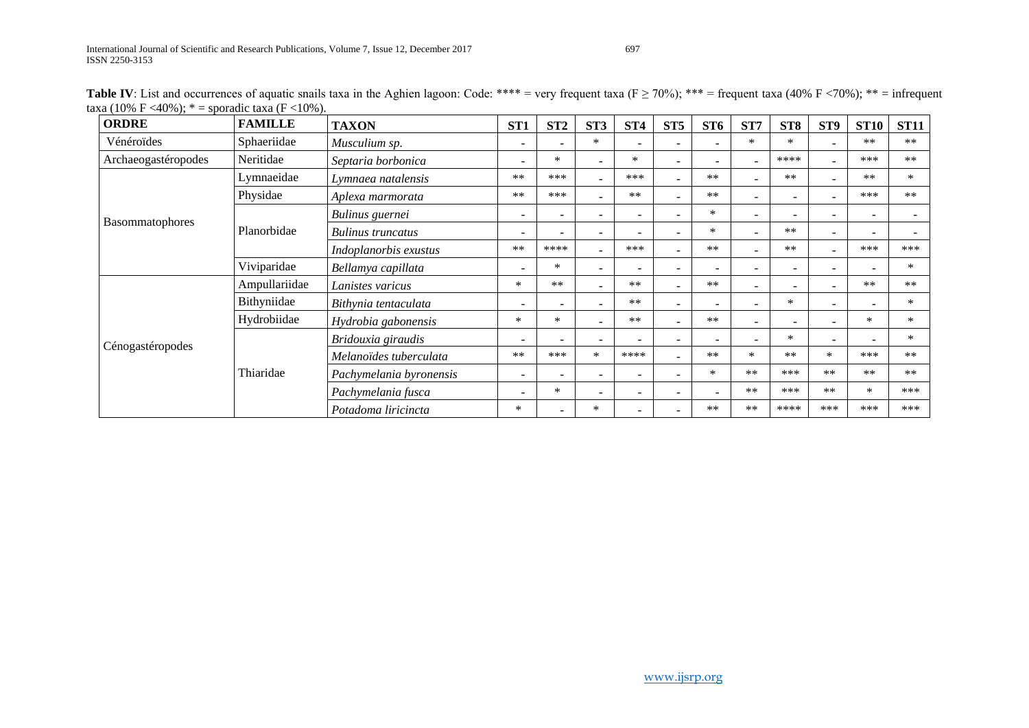| <b>ORDRE</b>        | <b>FAMILLE</b> | <b>TAXON</b>             | ST <sub>1</sub>          | ST2                      | ST <sub>3</sub>          | ST4                      | ST5                      | ST <sub>6</sub>          | ST7            | ST <sub>8</sub>          | ST <sub>9</sub>          | <b>ST10</b>              | <b>ST11</b> |
|---------------------|----------------|--------------------------|--------------------------|--------------------------|--------------------------|--------------------------|--------------------------|--------------------------|----------------|--------------------------|--------------------------|--------------------------|-------------|
| Vénéroïdes          | Sphaeriidae    | Musculium sp.            | $\overline{\phantom{0}}$ |                          | $\ast$                   |                          |                          |                          | $\ast$         | $\ast$                   |                          | $**$                     | $***$       |
| Archaeogastéropodes | Neritidae      | Septaria borbonica       | $\sim$                   | $\ast$                   | $\overline{\phantom{a}}$ | $\ast$                   | $\overline{\phantom{a}}$ | $\sim$                   |                | ****                     |                          | ***                      | $**$        |
|                     | Lymnaeidae     | Lymnaea natalensis       | $***$                    | ***                      | $\overline{\phantom{a}}$ | ***                      |                          | $***$                    |                | $***$                    | $\sim$                   | $***$                    | $\ast$      |
|                     | Physidae       | Aplexa marmorata         | $**$                     | ***                      |                          | $***$                    |                          | $***$                    |                | ÷                        |                          | ***                      | $***$       |
|                     |                | Bulinus guernei          | $\overline{\phantom{a}}$ | $\overline{\phantom{a}}$ | $\overline{\phantom{a}}$ | $\overline{\phantom{0}}$ |                          | $\ast$                   | $\blacksquare$ | $\overline{\phantom{0}}$ | $\sim$                   | $\overline{a}$           |             |
| Basommatophores     | Planorbidae    | <b>Bulinus</b> truncatus | $\overline{\phantom{0}}$ |                          | $\overline{\phantom{a}}$ | $\overline{\phantom{a}}$ |                          | ∗                        |                | $**$                     | $\overline{\phantom{0}}$ |                          |             |
|                     |                | Indoplanorbis exustus    | $**$                     | ****                     | ÷.                       | ***                      |                          | $**$                     |                | $***$                    |                          | ***                      | ***         |
|                     | Viviparidae    | Bellamya capillata       | $\overline{\phantom{0}}$ | $\ast$                   | $\sim$                   | $\overline{\phantom{0}}$ | $\sim$                   | $\sim$                   | $\sim$         | $\equiv$                 | $\sim$                   |                          | $\ast$      |
|                     | Ampullariidae  | Lanistes varicus         | $\ast$                   | $***$                    | $\overline{\phantom{a}}$ | $***$                    | $\sim$                   | $***$                    | $\sim$         | $\overline{\phantom{a}}$ | $\overline{\phantom{a}}$ | $***$                    | $**$        |
|                     | Bithyniidae    | Bithynia tentaculata     | $\overline{\phantom{a}}$ | <b>.</b>                 |                          | $***$                    | $\overline{a}$           |                          |                | $\ast$                   |                          | $\overline{\phantom{a}}$ | $\ast$      |
|                     | Hydrobiidae    | Hydrobia gabonensis      | $\ast$                   | $\ast$                   |                          | $***$                    |                          | $**$                     |                | $\overline{\phantom{0}}$ | $\overline{\phantom{0}}$ | $\ast$                   | $\ast$      |
|                     |                | Bridouxia giraudis       | $\overline{\phantom{a}}$ | <b>.</b>                 | $\overline{\phantom{a}}$ | $\overline{\phantom{a}}$ | $\overline{\phantom{a}}$ | $\overline{\phantom{a}}$ |                | ∗                        | $\overline{\phantom{0}}$ |                          | $\ast$      |
| Cénogastéropodes    | Thiaridae      | Melanoïdes tuberculata   | $**$                     | ***                      | $\ast$                   | ****                     |                          | $***$                    | $\ast$         | $***$                    | $\ast$                   | ***                      | $**$        |
|                     |                | Pachymelania byronensis  | $\sim$                   | $\overline{a}$           | ÷                        | $\overline{\phantom{0}}$ |                          | $\ast$                   | $**$           | ***                      | $**$                     | $**$                     | $**$        |
|                     |                | Pachymelania fusca       | $\overline{\phantom{0}}$ | ∗                        | $\sim$                   | $\overline{\phantom{a}}$ |                          | $\overline{\phantom{a}}$ | $***$          | ***                      | $**$                     | $\ast$                   | ***         |
|                     |                | Potadoma liricincta      | ∗                        |                          | $\ast$                   | $\overline{\phantom{a}}$ |                          | $**$                     | $***$          | ****                     | ***                      | ***                      | ***         |

**Table IV**: List and occurrences of aquatic snails taxa in the Aghien lagoon: Code: \*\*\*\* = very frequent taxa ( $F \ge 70\%$ ); \*\*\* = frequent taxa (40% F <70%); \*\* = infrequent taxa (10% F <40%);  $* =$ sporadic taxa (F <10%).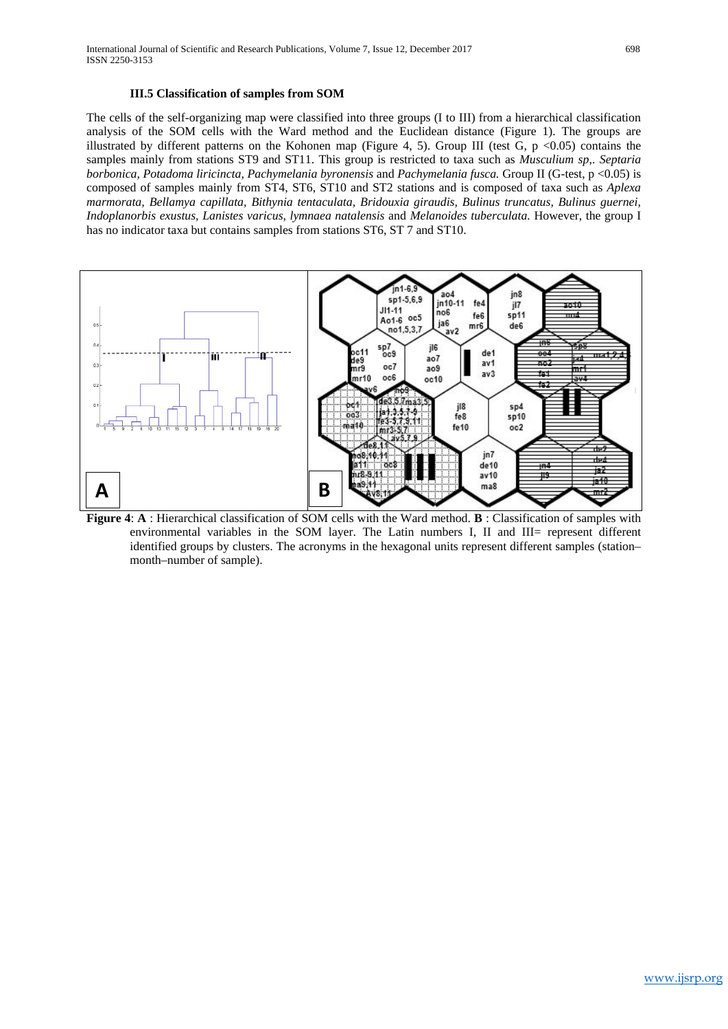## **III.5 Classification of samples from SOM**

The cells of the self-organizing map were classified into three groups (I to III) from a hierarchical classification analysis of the SOM cells with the Ward method and the Euclidean distance (Figure 1). The groups are illustrated by different patterns on the Kohonen map (Figure 4, 5). Group III (test G,  $p \le 0.05$ ) contains the samples mainly from stations ST9 and ST11. This group is restricted to taxa such as *Musculium sp*,. *Septaria borbonica, Potadoma liricincta, Pachymelania byronensis* and *Pachymelania fusca.* Group II (G-test, p <0.05) is composed of samples mainly from ST4, ST6, ST10 and ST2 stations and is composed of taxa such as *Aplexa marmorata, Bellamya capillata, Bithynia tentaculata, Bridouxia giraudis, Bulinus truncatus, Bulinus guernei, Indoplanorbis exustus, Lanistes varicus, lymnaea natalensis* and *Melanoides tuberculata.* However, the group I has no indicator taxa but contains samples from stations ST6, ST 7 and ST10.



**Figure 4**: **A** : Hierarchical classification of SOM cells with the Ward method. **B** : Classification of samples with environmental variables in the SOM layer. The Latin numbers I, II and III= represent different identified groups by clusters. The acronyms in the hexagonal units represent different samples (station– month–number of sample).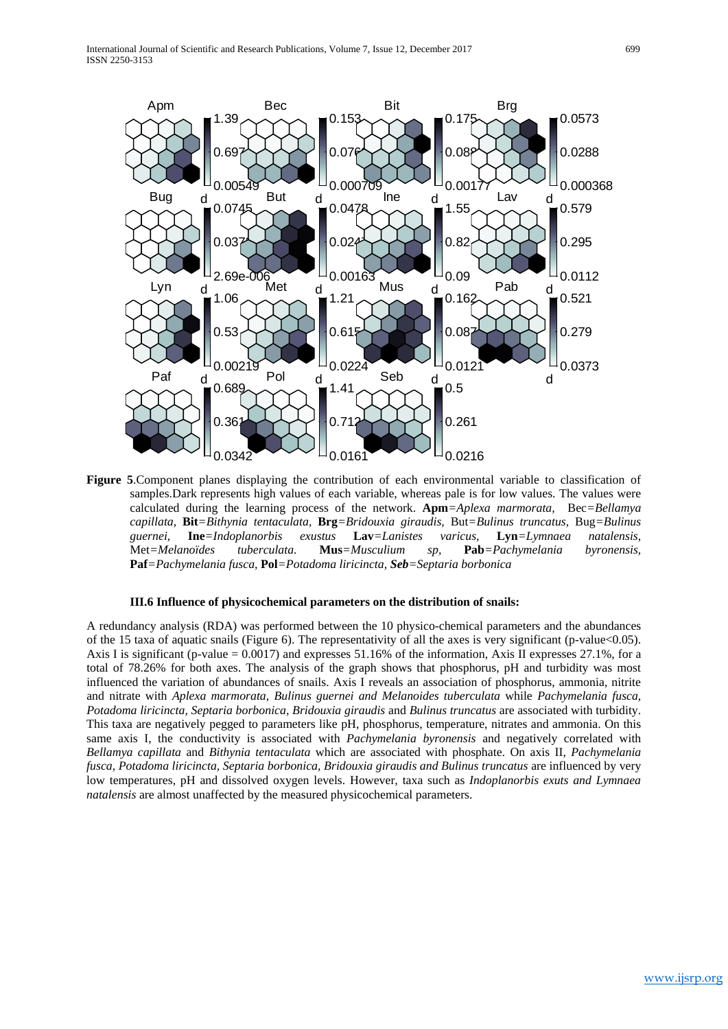

**Figure 5**.Component planes displaying the contribution of each environmental variable to classification of samples.Dark represents high values of each variable, whereas pale is for low values. The values were calculated during the learning process of the network. **Apm***=Aplexa marmorata,* Bec*=Bellamya capillata,* **Bit***=Bithynia tentaculata,* **Brg***=Bridouxia giraudis,* But*=Bulinus truncatus,* Bug*=Bulinus guernei,* **Ine***=Indoplanorbis exustus* **Lav***=Lanistes varicus,* **Lyn***=Lymnaea natalensis,*  Met*=Melanoïdes tuberculata.* **Mus***=Musculium sp,* **Pab***=Pachymelania byronensis,*  **Paf***=Pachymelania fusca,* **Pol***=Potadoma liricincta, Seb=Septaria borbonica*

#### **III.6 Influence of physicochemical parameters on the distribution of snails:**

A redundancy analysis (RDA) was performed between the 10 physico-chemical parameters and the abundances of the 15 taxa of aquatic snails (Figure 6). The representativity of all the axes is very significant (p-value<0.05). Axis I is significant (p-value = 0.0017) and expresses 51.16% of the information, Axis II expresses 27.1%, for a total of 78.26% for both axes. The analysis of the graph shows that phosphorus, pH and turbidity was most influenced the variation of abundances of snails. Axis I reveals an association of phosphorus, ammonia, nitrite and nitrate with *Aplexa marmorata, Bulinus guernei and Melanoides tuberculata* while *Pachymelania fusca, Potadoma liricincta, Septaria borbonica, Bridouxia giraudis* and *Bulinus truncatus* are associated with turbidity. This taxa are negatively pegged to parameters like pH, phosphorus, temperature, nitrates and ammonia. On this same axis I, the conductivity is associated with *Pachymelania byronensis* and negatively correlated with *Bellamya capillata* and *Bithynia tentaculata* which are associated with phosphate. On axis II, *Pachymelania fusca, Potadoma liricincta, Septaria borbonica, Bridouxia giraudis and Bulinus truncatus* are influenced by very low temperatures, pH and dissolved oxygen levels. However, taxa such as *Indoplanorbis exuts and Lymnaea natalensis* are almost unaffected by the measured physicochemical parameters.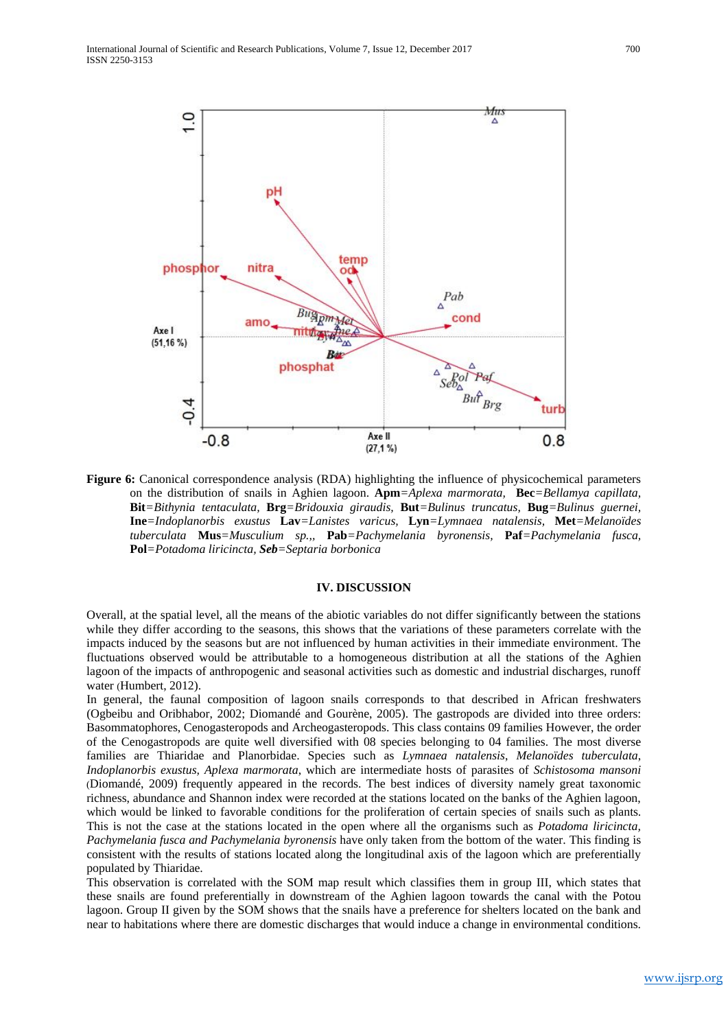![](_page_7_Figure_1.jpeg)

**Figure 6:** Canonical correspondence analysis (RDA) highlighting the influence of physicochemical parameters on the distribution of snails in Aghien lagoon. **Apm***=Aplexa marmorata,* **Bec***=Bellamya capillata,*  **Bit***=Bithynia tentaculata,* **Brg***=Bridouxia giraudis,* **But***=Bulinus truncatus,* **Bug***=Bulinus guernei,*  **Ine***=Indoplanorbis exustus* **Lav***=Lanistes varicus,* **Lyn***=Lymnaea natalensis,* **Met***=Melanoïdes tuberculata* **Mus***=Musculium sp.,,* **Pab***=Pachymelania byronensis,* **Paf***=Pachymelania fusca,* **Pol***=Potadoma liricincta, Seb=Septaria borbonica*

#### **IV. DISCUSSION**

Overall, at the spatial level, all the means of the abiotic variables do not differ significantly between the stations while they differ according to the seasons, this shows that the variations of these parameters correlate with the impacts induced by the seasons but are not influenced by human activities in their immediate environment. The fluctuations observed would be attributable to a homogeneous distribution at all the stations of the Aghien lagoon of the impacts of anthropogenic and seasonal activities such as domestic and industrial discharges, runoff water (Humbert, 2012).

In general, the faunal composition of lagoon snails corresponds to that described in African freshwaters (Ogbeibu and Oribhabor, 2002; Diomandé and Gourène, 2005). The gastropods are divided into three orders: Basommatophores, Cenogasteropods and Archeogasteropods. This class contains 09 families However, the order of the Cenogastropods are quite well diversified with 08 species belonging to 04 families. The most diverse families are Thiaridae and Planorbidae. Species such as *Lymnaea natalensis*, *Melanoïdes tuberculata*, *Indoplanorbis exustus, Aplexa marmorata*, which are intermediate hosts of parasites of *Schistosoma mansoni* (Diomandé, 2009) frequently appeared in the records. The best indices of diversity namely great taxonomic richness, abundance and Shannon index were recorded at the stations located on the banks of the Aghien lagoon, which would be linked to favorable conditions for the proliferation of certain species of snails such as plants. This is not the case at the stations located in the open where all the organisms such as *Potadoma liricincta, Pachymelania fusca and Pachymelania byronensis* have only taken from the bottom of the water. This finding is consistent with the results of stations located along the longitudinal axis of the lagoon which are preferentially populated by Thiaridae.

This observation is correlated with the SOM map result which classifies them in group III, which states that these snails are found preferentially in downstream of the Aghien lagoon towards the canal with the Potou lagoon. Group II given by the SOM shows that the snails have a preference for shelters located on the bank and near to habitations where there are domestic discharges that would induce a change in environmental conditions.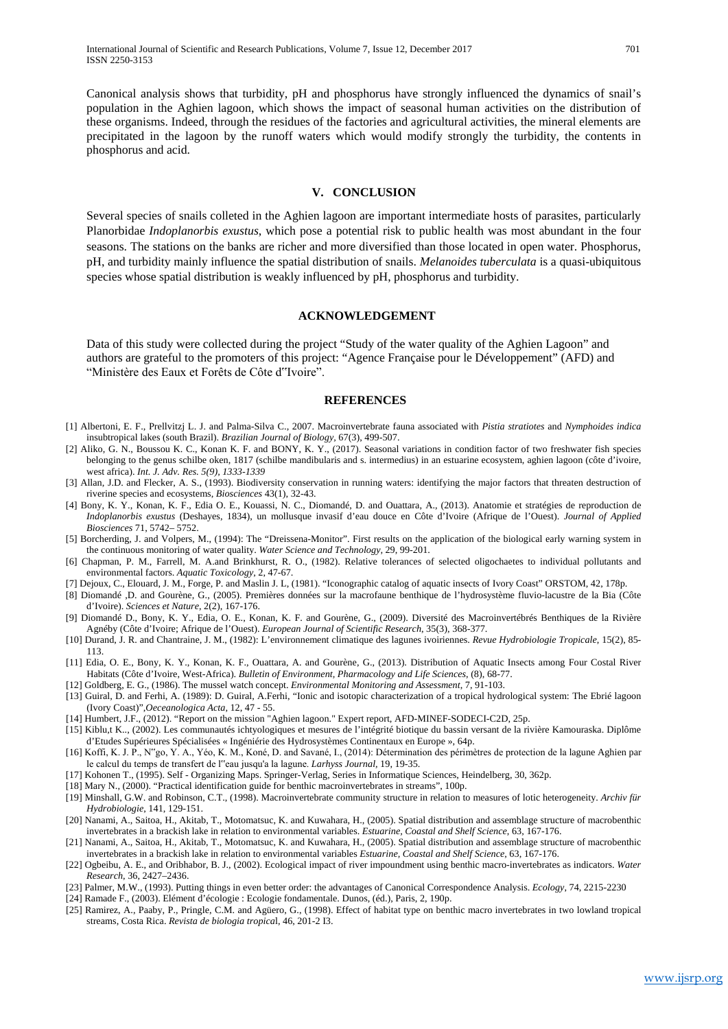Canonical analysis shows that turbidity, pH and phosphorus have strongly influenced the dynamics of snail's population in the Aghien lagoon, which shows the impact of seasonal human activities on the distribution of these organisms. Indeed, through the residues of the factories and agricultural activities, the mineral elements are precipitated in the lagoon by the runoff waters which would modify strongly the turbidity, the contents in phosphorus and acid.

#### **V. CONCLUSION**

Several species of snails colleted in the Aghien lagoon are important intermediate hosts of parasites, particularly Planorbidae *Indoplanorbis exustus*, which pose a potential risk to public health was most abundant in the four seasons. The stations on the banks are richer and more diversified than those located in open water. Phosphorus, pH, and turbidity mainly influence the spatial distribution of snails. *Melanoides tuberculata* is a quasi-ubiquitous species whose spatial distribution is weakly influenced by pH, phosphorus and turbidity.

#### **ACKNOWLEDGEMENT**

Data of this study were collected during the project "Study of the water quality of the Aghien Lagoon" and authors are grateful to the promoters of this project: "Agence Française pour le Développement" (AFD) and "Ministère des Eaux et Forêts de Côte d"Ivoire".

#### **REFERENCES**

- [1] Albertoni, E. F., Prellvitzj L. J. and Palma-Silva C., 2007. Macroinvertebrate fauna associated with *Pistia stratiotes* and *Nymphoides indica*  insubtropical lakes (south Brazil). *Brazilian Journal of Biology,* 67(3), 499-507.
- [2] Aliko, G. N., Boussou K. C., Konan K. F. and BONY, K. Y., (2017). Seasonal variations in condition factor of two freshwater fish species belonging to the genus schilbe oken, 1817 (schilbe mandibularis and s. intermedius) in an estuarine ecosystem, aghien lagoon (côte d'ivoire, west africa). *Int. J. Adv. Res. 5(9), 1333-1339*
- [3] Allan, J.D. and Flecker, A. S., (1993). Biodiversity conservation in running waters: identifying the major factors that threaten destruction of riverine species and ecosystems, *Biosciences* 43(1), 32-43.
- [4] Bony, K. Y., Konan, K. F., Edia O. E., Kouassi, N. C., Diomandé, D. and Ouattara, A., (2013). Anatomie et stratégies de reproduction de *Indoplanorbis exustus* (Deshayes, 1834), un mollusque invasif d'eau douce en Côte d'Ivoire (Afrique de l'Ouest). *Journal of Applied Biosciences* 71, 5742– 5752.
- [5] Borcherding, J. and Volpers, M., (1994): The "Dreissena-Monitor". First results on the application of the biological early warning system in the continuous monitoring of water quality. *Water Science and Technology,* 29, 99-201.
- [6] Chapman, P. M., Farrell, M. A.and Brinkhurst, R. O., (1982). Relative tolerances of selected oligochaetes to individual pollutants and environmental factors. *Aquatic Toxicology*, 2, 47-67.
- [7] Dejoux, C., Elouard, J. M., Forge, P. and Maslin J. L, (1981). "Iconographic catalog of aquatic insects of Ivory Coast" ORSTOM, 42, 178p.
- [8] Diomandé ,D. and Gourène, G., (2005). Premières données sur la macrofaune benthique de l'hydrosystème fluvio-lacustre de la Bia (Côte d'Ivoire). *Sciences et Nature*, 2(2), 167-176.
- [9] Diomandé D., Bony, K. Y., Edia, O. E., Konan, K. F. and Gourène, G., (2009). Diversité des Macroinvertébrés Benthiques de la Rivière Agnéby (Côte d'Ivoire; Afrique de l'Ouest). *European Journal of Scientific Research*, 35(3), 368-377.
- [10] Durand, J. R. and Chantraine, J. M., (1982): L'environnement climatique des lagunes ivoiriennes. *Revue Hydrobiologie Tropicale*, 15(2), 85- 113.
- [11] Edia, O. E., Bony, K. Y., Konan, K. F., Ouattara, A. and Gourène, G., (2013). Distribution of Aquatic Insects among Four Costal River Habitats (Côte d'Ivoire, West-Africa). *Bulletin of Environment, Pharmacology and Life Sciences*, (8), 68-77.
- [12] Goldberg, E. G., (1986). The mussel watch concept. *Environmental Monitoring and Assessment*, 7, 91-103.
- [13] Guiral, D. and Ferhi, A. (1989): D. Guiral, A.Ferhi, "Ionic and isotopic characterization of a tropical hydrological system: The Ebrié lagoon (Ivory Coast)",*Oeceanologica Acta,* 12, 47 - 55.
- [14] Humbert, J.F., (2012). "Report on the mission "Aghien lagoon." Expert report, AFD-MINEF-SODECI-C2D, 25p.
- [15] Kiblu,t K.., (2002). Les communautés ichtyologiques et mesures de l'intégrité biotique du bassin versant de la rivière Kamouraska. Diplôme d'Etudes Supérieures Spécialisées « Ingéniérie des Hydrosystèmes Continentaux en Europe », 64p.
- [16] Koffi, K. J. P., N"go, Y. A., Yéo, K. M., Koné, D. and Savané, I., (2014): Détermination des périmètres de protection de la lagune Aghien par le calcul du temps de transfert de l"eau jusqu'a la lagune. *Larhyss Journal,* 19, 19-35.
- [17] Kohonen T., (1995). Self Organizing Maps. Springer-Verlag, Series in Informatique Sciences, Heindelberg, 30, 362p.
- [18] Mary N., (2000). "Practical identification guide for benthic macroinvertebrates in streams", 100p.
- [19] Minshall, G.W. and Robinson, C.T., (1998). Macroinvertebrate community structure in relation to measures of lotic heterogeneity. *Archiv für Hydrobiologie*, 141, 129-151.
- [20] Nanami, A., Saitoa, H., Akitab, T., Motomatsuc, K. and Kuwahara, H., (2005). Spatial distribution and assemblage structure of macrobenthic invertebrates in a brackish lake in relation to environmental variables. *Estuarine, Coastal and Shelf Science*, 63, 167-176.
- [21] Nanami, A., Saitoa, H., Akitab, T., Motomatsuc, K. and Kuwahara, H., (2005). Spatial distribution and assemblage structure of macrobenthic invertebrates in a brackish lake in relation to environmental variables *Estuarine, Coastal and Shelf Science*, 63, 167-176.
- [22] Ogbeibu, A. E., and Oribhabor, B. J., (2002). Ecological impact of river impoundment using benthic macro-invertebrates as indicators. *Water Research*, 36, 2427–2436.
- [23] Palmer, M.W., (1993). Putting things in even better order: the advantages of Canonical Correspondence Analysis. *Ecology*, 74, 2215-2230
- [24] Ramade F., (2003). Elément d'écologie : Ecologie fondamentale. Dunos, (éd.), Paris, 2, 190p.
- [25] Ramirez, A., Paaby, P., Pringle, C.M. and Agüero, G., (1998). Effect of habitat type on benthic macro invertebrates in two lowland tropical streams, Costa Rica. *Revista de biologia tropica*l, 46, 201-2 I3.